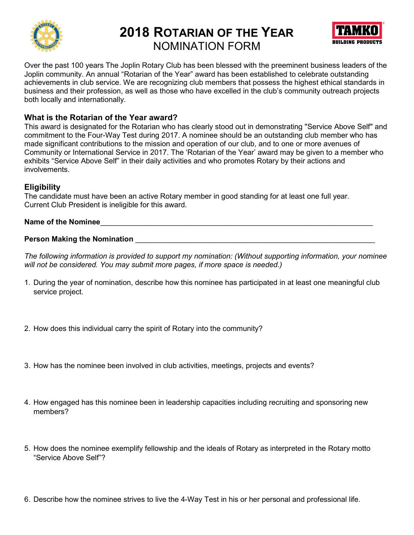

# 2018 ROTARIAN OF THE YEAR



NOMINATION FORM

Over the past 100 years The Joplin Rotary Club has been blessed with the preeminent business leaders of the Joplin community. An annual "Rotarian of the Year" award has been established to celebrate outstanding achievements in club service. We are recognizing club members that possess the highest ethical standards in business and their profession, as well as those who have excelled in the club's community outreach projects both locally and internationally.

### What is the Rotarian of the Year award?

This award is designated for the Rotarian who has clearly stood out in demonstrating "Service Above Self" and commitment to the Four-Way Test during 2017. A nominee should be an outstanding club member who has made significant contributions to the mission and operation of our club, and to one or more avenues of Community or International Service in 2017. The 'Rotarian of the Year' award may be given to a member who exhibits "Service Above Self" in their daily activities and who promotes Rotary by their actions and involvements.

## **Eligibility**

The candidate must have been an active Rotary member in good standing for at least one full year. Current Club President is ineligible for this award.

#### Name of the Nominee

#### Person Making the Nomination \_\_\_\_\_\_\_\_\_\_\_\_\_\_\_\_\_\_\_\_\_\_\_\_\_\_\_\_\_\_\_\_\_\_\_\_\_\_\_\_\_\_\_\_\_\_\_\_\_\_\_\_\_\_\_\_\_\_

The following information is provided to support my nomination: (Without supporting information, your nominee will not be considered. You may submit more pages, if more space is needed.)

- 1. During the year of nomination, describe how this nominee has participated in at least one meaningful club service project.
- 2. How does this individual carry the spirit of Rotary into the community?
- 3. How has the nominee been involved in club activities, meetings, projects and events?
- 4. How engaged has this nominee been in leadership capacities including recruiting and sponsoring new members?
- 5. How does the nominee exemplify fellowship and the ideals of Rotary as interpreted in the Rotary motto "Service Above Self"?
- 6. Describe how the nominee strives to live the 4-Way Test in his or her personal and professional life.